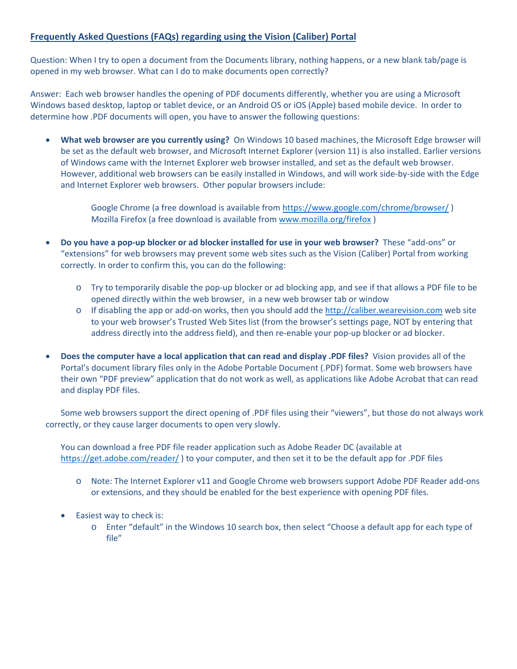## **Frequently Asked Questions (FAQs) regarding using the Vision (Caliber) Portal**

Question: When I try to open a document from the Documents library, nothing happens, or a new blank tab/page is opened in my web browser. What can I do to make documents open correctly?

Answer: Each web browser handles the opening of PDF documents differently, whether you are using a Microsoft Windows based desktop, laptop or tablet device, or an Android OS or iOS (Apple) based mobile device. In order to determine how .PDF documents will open, you have to answer the following questions:

• **What web browser are you currently using?** On Windows 10 based machines, the Microsoft Edge browser will be set as the default web browser, and Microsoft Internet Explorer (version 11) is also installed. Earlier versions of Windows came with the Internet Explorer web browser installed, and set as the default web browser. However, additional web browsers can be easily installed in Windows, and will work side-by-side with the Edge and Internet Explorer web browsers. Other popular browsers include:

Google Chrome (a free download is available fro[m https://www.google.com/chrome/browser/](https://www.google.com/chrome/browser/)) Mozilla Firefox (a free download is available fro[m www.mozilla.org/firefox](http://www.mozilla.org/firefox))

- **Do you have a pop-up blocker or ad blocker installed for use in your web browser?** These "add-ons" or "extensions" for web browsers may prevent some web sites such as the Vision (Caliber) Portal from working correctly. In order to confirm this, you can do the following:
	- o Try to temporarily disable the pop-up blocker or ad blocking app, and see if that allows a PDF file to be opened directly within the web browser, in a new web browser tab or window
	- o If disabling the app or add-on works, then you should add the [http://caliber.wearevision.com](http://caliber.wearevision.com/) web site to your web browser's Trusted Web Sites list (from the browser's settings page, NOT by entering that address directly into the address field), and then re-enable your pop-up blocker or ad blocker.
- **Does the computer have a local application that can read and display .PDF files?** Vision provides all of the Portal's document library files only in the Adobe Portable Document (.PDF) format. Some web browsers have their own "PDF preview" application that do not work as well, as applications like Adobe Acrobat that can read and display PDF files.

Some web browsers support the direct opening of .PDF files using their "viewers", but those do not always work correctly, or they cause larger documents to open very slowly.

You can download a free PDF file reader application such as Adobe Reader DC (available at <https://get.adobe.com/reader/> ) to your computer, and then set it to be the default app for .PDF files

- o Note: The Internet Explorer v11 and Google Chrome web browsers support Adobe PDF Reader add-ons or extensions, and they should be enabled for the best experience with opening PDF files.
- Easiest way to check is:
	- o Enter "default" in the Windows 10 search box, then select "Choose a default app for each type of file"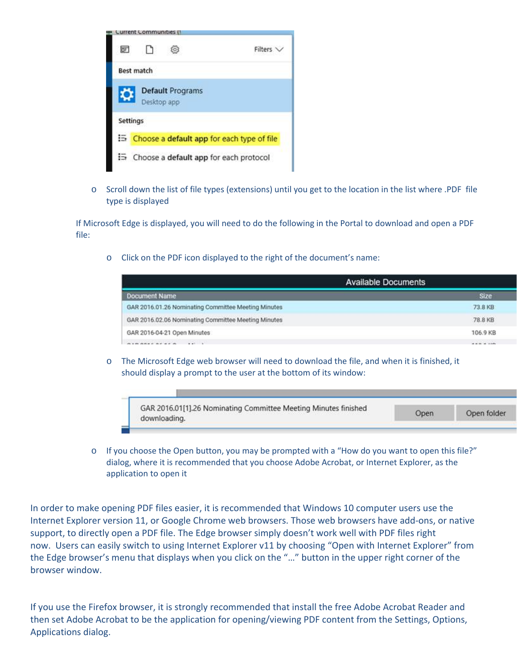

o Scroll down the list of file types (extensions) until you get to the location in the list where .PDF file type is displayed

If Microsoft Edge is displayed, you will need to do the following in the Portal to download and open a PDF file:

o Click on the PDF icon displayed to the right of the document's name:

| <b>Available Documents</b>                          |             |
|-----------------------------------------------------|-------------|
| Document Name                                       | <b>Size</b> |
| GAR 2016.01.26 Nominating Committee Meeting Minutes | 73.8 KB     |
| GAR 2016.02.06 Nominating Committee Meeting Minutes | 78.8 KB     |
| GAR 2016-04-21 Open Minutes                         | 106.9 KB    |
|                                                     |             |

o The Microsoft Edge web browser will need to download the file, and when it is finished, it should display a prompt to the user at the bottom of its window:



 $\circ$  If you choose the Open button, you may be prompted with a "How do you want to open this file?" dialog, where it is recommended that you choose Adobe Acrobat, or Internet Explorer, as the application to open it

In order to make opening PDF files easier, it is recommended that Windows 10 computer users use the Internet Explorer version 11, or Google Chrome web browsers. Those web browsers have add-ons, or native support, to directly open a PDF file. The Edge browser simply doesn't work well with PDF files right now. Users can easily switch to using Internet Explorer v11 by choosing "Open with Internet Explorer" from the Edge browser's menu that displays when you click on the "…" button in the upper right corner of the browser window.

If you use the Firefox browser, it is strongly recommended that install the free Adobe Acrobat Reader and then set Adobe Acrobat to be the application for opening/viewing PDF content from the Settings, Options, Applications dialog.